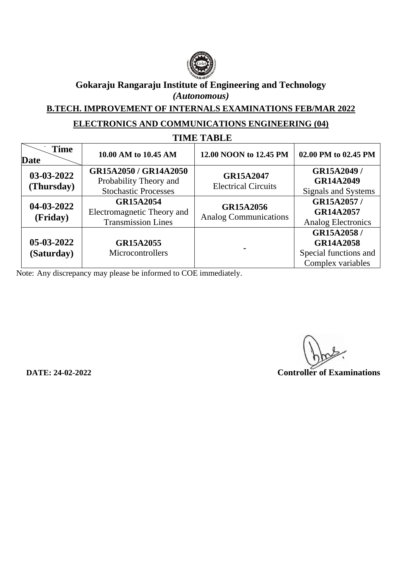

**B.TECH. IMPROVEMENT OF INTERNALS EXAMINATIONS FEB/MAR 2022**

# **ELECTRONICS AND COMMUNICATIONS ENGINEERING (04)**

| <b>TIME TABLE</b>          |                                                                                |                                                |                                                                              |
|----------------------------|--------------------------------------------------------------------------------|------------------------------------------------|------------------------------------------------------------------------------|
| <b>Time</b><br><b>Date</b> | 10.00 AM to 10.45 AM                                                           | 12.00 NOON to 12.45 PM                         | 02.00 PM to 02.45 PM                                                         |
| 03-03-2022<br>(Thursday)   | GR15A2050 / GR14A2050<br>Probability Theory and<br><b>Stochastic Processes</b> | <b>GR15A2047</b><br><b>Electrical Circuits</b> | GR15A2049 /<br><b>GR14A2049</b><br>Signals and Systems                       |
| 04-03-2022<br>(Friday)     | <b>GR15A2054</b><br>Electromagnetic Theory and<br><b>Transmission Lines</b>    | GR15A2056<br><b>Analog Communications</b>      | GR15A2057/<br><b>GR14A2057</b><br><b>Analog Electronics</b>                  |
| 05-03-2022<br>(Saturday)   | <b>GR15A2055</b><br>Microcontrollers                                           |                                                | GR15A2058/<br><b>GR14A2058</b><br>Special functions and<br>Complex variables |

Note: Any discrepancy may please be informed to COE immediately.

 **DATE: 24-02-2022 Controller of Examinations**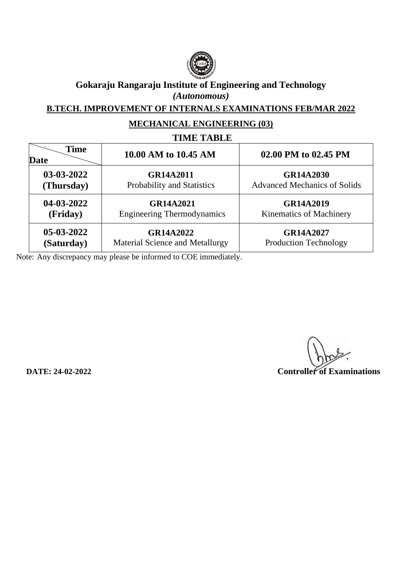

**B.TECH. IMPROVEMENT OF INTERNALS EXAMINATIONS FEB/MAR 2022**

# **MECHANICAL ENGINEERING (03)**

# **TIME TABLE**

| <b>Time</b><br><b>Date</b> | 10.00 AM to 10.45 AM                   | 02.00 PM to 02.45 PM                |
|----------------------------|----------------------------------------|-------------------------------------|
| 03-03-2022                 | <b>GR14A2011</b>                       | GR14A2030                           |
| (Thursday)                 | Probability and Statistics             | <b>Advanced Mechanics of Solids</b> |
| 04-03-2022                 | <b>GR14A2021</b>                       | <b>GR14A2019</b>                    |
| (Friday)                   | <b>Engineering Thermodynamics</b>      | <b>Kinematics of Machinery</b>      |
| $05-03-2022$               | GR14A2022                              | <b>GR14A2027</b>                    |
| (Saturday)                 | <b>Material Science and Metallurgy</b> | <b>Production Technology</b>        |

 **DATE: 24-02-2022 Controller of Examinations**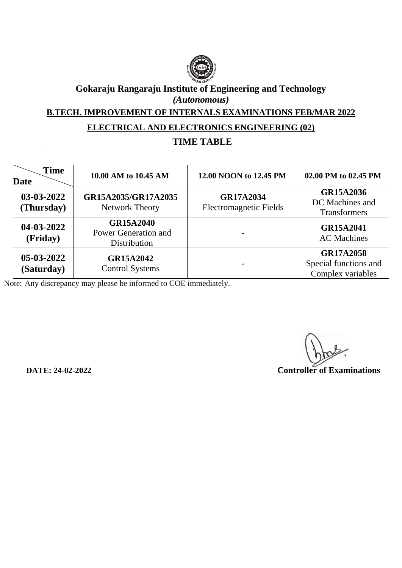

**B.TECH. IMPROVEMENT OF INTERNALS EXAMINATIONS FEB/MAR 2022**

#### **ELECTRICAL AND ELECTRONICS ENGINEERING (02)**

# **TIME TABLE**

| <b>Time</b><br><b>Date</b> | 10.00 AM to 10.45 AM                                     | 12.00 NOON to 12.45 PM                            | 02.00 PM to 02.45 PM                                           |
|----------------------------|----------------------------------------------------------|---------------------------------------------------|----------------------------------------------------------------|
| 03-03-2022<br>(Thursday)   | GR15A2035/GR17A2035<br>Network Theory                    | <b>GR17A2034</b><br><b>Electromagnetic Fields</b> | GR15A2036<br>DC Machines and<br><b>Transformers</b>            |
| 04-03-2022<br>(Friday)     | <b>GR15A2040</b><br>Power Generation and<br>Distribution |                                                   | <b>GR15A2041</b><br><b>AC</b> Machines                         |
| 05-03-2022<br>(Saturday)   | GR15A2042<br><b>Control Systems</b>                      |                                                   | <b>GR17A2058</b><br>Special functions and<br>Complex variables |

 **DATE: 24-02-2022 Controller of Examinations**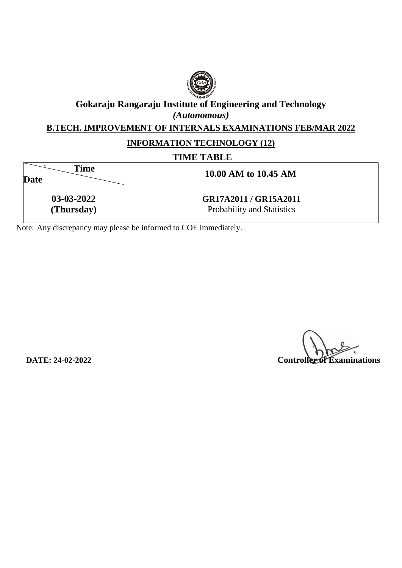

#### **B.TECH. IMPROVEMENT OF INTERNALS EXAMINATIONS FEB/MAR 2022**

#### **INFORMATION TECHNOLOGY (12)**

#### **TIME TABLE**

| Time<br>Date | 10.00 AM to 10.45 AM       |
|--------------|----------------------------|
| 03-03-2022   | GR17A2011 / GR15A2011      |
| (Thursday)   | Probability and Statistics |

**DATE: 24-02-2022 Controller of Examinations**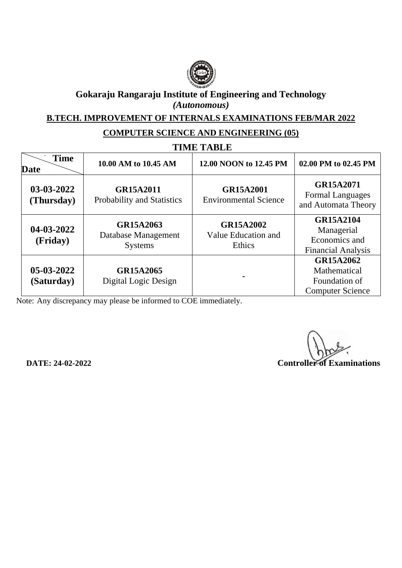

**B.TECH. IMPROVEMENT OF INTERNALS EXAMINATIONS FEB/MAR 2022**

### **COMPUTER SCIENCE AND ENGINEERING (05)**

| <b>TIME TABLE</b>          |                                                    |                                                   |                                                                              |
|----------------------------|----------------------------------------------------|---------------------------------------------------|------------------------------------------------------------------------------|
| <b>Time</b><br>Date        | 10.00 AM to 10.45 AM                               | 12.00 NOON to 12.45 PM                            | 02.00 PM to 02.45 PM                                                         |
| 03-03-2022<br>(Thursday)   | GR15A2011<br>Probability and Statistics            | <b>GR15A2001</b><br><b>Environmental Science</b>  | GR15A2071<br><b>Formal Languages</b><br>and Automata Theory                  |
| 04-03-2022<br>(Friday)     | GR15A2063<br>Database Management<br><b>Systems</b> | <b>GR15A2002</b><br>Value Education and<br>Ethics | <b>GR15A2104</b><br>Managerial<br>Economics and<br><b>Financial Analysis</b> |
| $05-03-2022$<br>(Saturday) | GR15A2065<br>Digital Logic Design                  |                                                   | GR15A2062<br>Mathematical<br>Foundation of<br><b>Computer Science</b>        |

**DATE: 24-02-2022 Controller of Examinations**